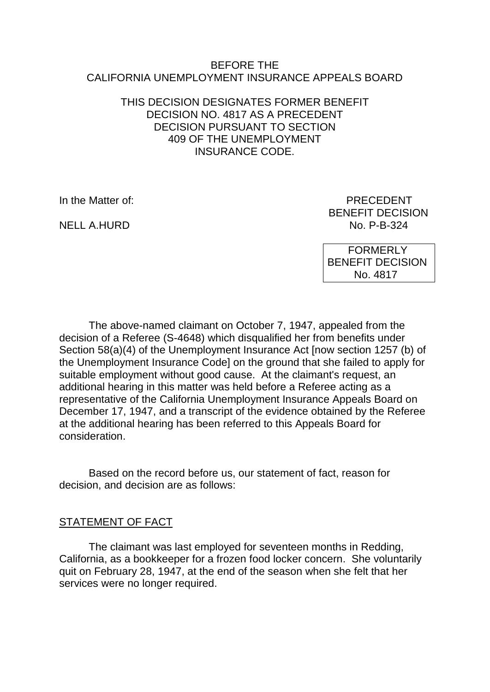#### BEFORE THE CALIFORNIA UNEMPLOYMENT INSURANCE APPEALS BOARD

### THIS DECISION DESIGNATES FORMER BENEFIT DECISION NO. 4817 AS A PRECEDENT DECISION PURSUANT TO SECTION 409 OF THE UNEMPLOYMENT INSURANCE CODE.

NELL A.HURD

In the Matter of: PRECEDENT BENEFIT DECISION<br>No. P-B-324

> FORMERLY BENEFIT DECISION No. 4817

The above-named claimant on October 7, 1947, appealed from the decision of a Referee (S-4648) which disqualified her from benefits under Section 58(a)(4) of the Unemployment Insurance Act [now section 1257 (b) of the Unemployment Insurance Code] on the ground that she failed to apply for suitable employment without good cause. At the claimant's request, an additional hearing in this matter was held before a Referee acting as a representative of the California Unemployment Insurance Appeals Board on December 17, 1947, and a transcript of the evidence obtained by the Referee at the additional hearing has been referred to this Appeals Board for consideration.

Based on the record before us, our statement of fact, reason for decision, and decision are as follows:

### STATEMENT OF FACT

The claimant was last employed for seventeen months in Redding, California, as a bookkeeper for a frozen food locker concern. She voluntarily quit on February 28, 1947, at the end of the season when she felt that her services were no longer required.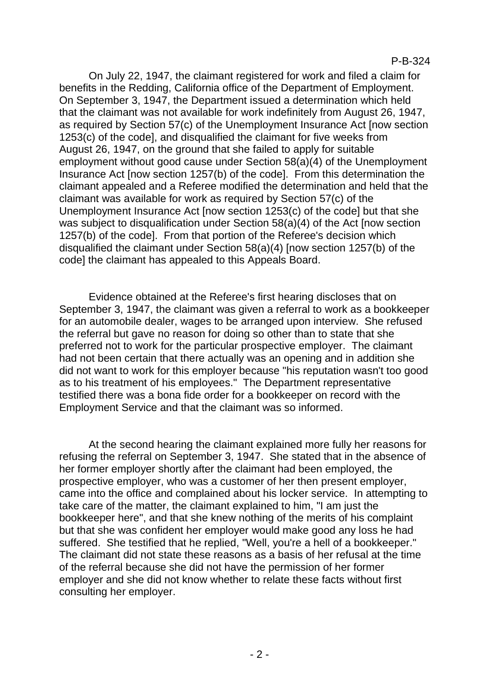On July 22, 1947, the claimant registered for work and filed a claim for benefits in the Redding, California office of the Department of Employment. On September 3, 1947, the Department issued a determination which held that the claimant was not available for work indefinitely from August 26, 1947, as required by Section 57(c) of the Unemployment Insurance Act [now section 1253(c) of the code], and disqualified the claimant for five weeks from August 26, 1947, on the ground that she failed to apply for suitable employment without good cause under Section 58(a)(4) of the Unemployment Insurance Act [now section 1257(b) of the code]. From this determination the claimant appealed and a Referee modified the determination and held that the claimant was available for work as required by Section 57(c) of the Unemployment Insurance Act [now section 1253(c) of the code] but that she was subject to disqualification under Section 58(a)(4) of the Act [now section 1257(b) of the code]. From that portion of the Referee's decision which disqualified the claimant under Section 58(a)(4) [now section 1257(b) of the code] the claimant has appealed to this Appeals Board.

Evidence obtained at the Referee's first hearing discloses that on September 3, 1947, the claimant was given a referral to work as a bookkeeper for an automobile dealer, wages to be arranged upon interview. She refused the referral but gave no reason for doing so other than to state that she preferred not to work for the particular prospective employer. The claimant had not been certain that there actually was an opening and in addition she did not want to work for this employer because "his reputation wasn't too good as to his treatment of his employees." The Department representative testified there was a bona fide order for a bookkeeper on record with the Employment Service and that the claimant was so informed.

At the second hearing the claimant explained more fully her reasons for refusing the referral on September 3, 1947. She stated that in the absence of her former employer shortly after the claimant had been employed, the prospective employer, who was a customer of her then present employer, came into the office and complained about his locker service. In attempting to take care of the matter, the claimant explained to him, "I am just the bookkeeper here", and that she knew nothing of the merits of his complaint but that she was confident her employer would make good any loss he had suffered. She testified that he replied, "Well, you're a hell of a bookkeeper." The claimant did not state these reasons as a basis of her refusal at the time of the referral because she did not have the permission of her former employer and she did not know whether to relate these facts without first consulting her employer.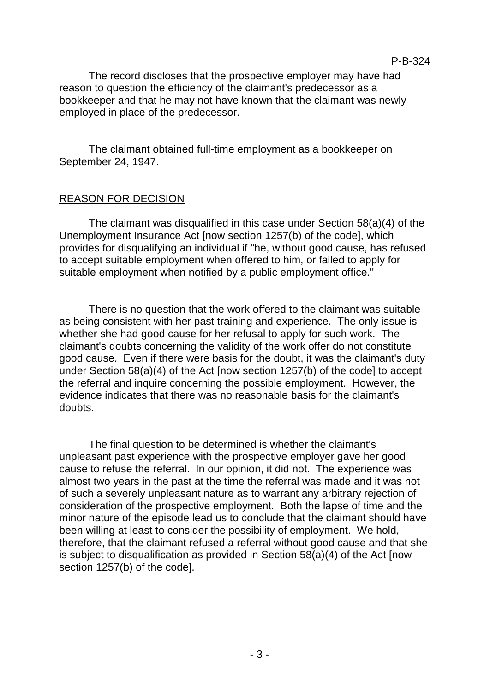P-B-324

The record discloses that the prospective employer may have had reason to question the efficiency of the claimant's predecessor as a bookkeeper and that he may not have known that the claimant was newly employed in place of the predecessor.

The claimant obtained full-time employment as a bookkeeper on September 24, 1947.

# REASON FOR DECISION

The claimant was disqualified in this case under Section 58(a)(4) of the Unemployment Insurance Act [now section 1257(b) of the code], which provides for disqualifying an individual if "he, without good cause, has refused to accept suitable employment when offered to him, or failed to apply for suitable employment when notified by a public employment office."

There is no question that the work offered to the claimant was suitable as being consistent with her past training and experience. The only issue is whether she had good cause for her refusal to apply for such work. The claimant's doubts concerning the validity of the work offer do not constitute good cause. Even if there were basis for the doubt, it was the claimant's duty under Section 58(a)(4) of the Act [now section 1257(b) of the code] to accept the referral and inquire concerning the possible employment. However, the evidence indicates that there was no reasonable basis for the claimant's doubts.

The final question to be determined is whether the claimant's unpleasant past experience with the prospective employer gave her good cause to refuse the referral. In our opinion, it did not. The experience was almost two years in the past at the time the referral was made and it was not of such a severely unpleasant nature as to warrant any arbitrary rejection of consideration of the prospective employment. Both the lapse of time and the minor nature of the episode lead us to conclude that the claimant should have been willing at least to consider the possibility of employment. We hold, therefore, that the claimant refused a referral without good cause and that she is subject to disqualification as provided in Section 58(a)(4) of the Act [now section 1257(b) of the code].